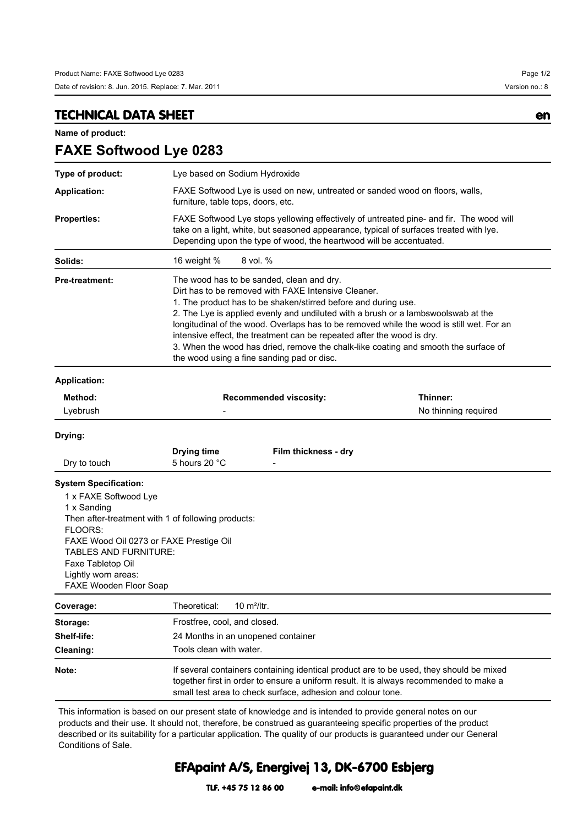**FAXE Softwood Lye 0283**

## **TECHNICAL DATA SHEET en**

**Name of product:**

| Type of product:                                                                                                                                                                      |                                                                                                                                                                                                                                                                                                                                                                                                                                                                                                                                                                    | Lye based on Sodium Hydroxide |  |
|---------------------------------------------------------------------------------------------------------------------------------------------------------------------------------------|--------------------------------------------------------------------------------------------------------------------------------------------------------------------------------------------------------------------------------------------------------------------------------------------------------------------------------------------------------------------------------------------------------------------------------------------------------------------------------------------------------------------------------------------------------------------|-------------------------------|--|
| <b>Application:</b>                                                                                                                                                                   | FAXE Softwood Lye is used on new, untreated or sanded wood on floors, walls,<br>furniture, table tops, doors, etc.                                                                                                                                                                                                                                                                                                                                                                                                                                                 |                               |  |
| <b>Properties:</b>                                                                                                                                                                    | FAXE Softwood Lye stops yellowing effectively of untreated pine- and fir. The wood will<br>take on a light, white, but seasoned appearance, typical of surfaces treated with lye.<br>Depending upon the type of wood, the heartwood will be accentuated.                                                                                                                                                                                                                                                                                                           |                               |  |
| Solids:                                                                                                                                                                               | 16 weight %<br>8 vol. %                                                                                                                                                                                                                                                                                                                                                                                                                                                                                                                                            |                               |  |
| <b>Pre-treatment:</b>                                                                                                                                                                 | The wood has to be sanded, clean and dry.<br>Dirt has to be removed with FAXE Intensive Cleaner.<br>1. The product has to be shaken/stirred before and during use.<br>2. The Lye is applied evenly and undiluted with a brush or a lambswoolswab at the<br>longitudinal of the wood. Overlaps has to be removed while the wood is still wet. For an<br>intensive effect, the treatment can be repeated after the wood is dry.<br>3. When the wood has dried, remove the chalk-like coating and smooth the surface of<br>the wood using a fine sanding pad or disc. |                               |  |
| <b>Application:</b>                                                                                                                                                                   |                                                                                                                                                                                                                                                                                                                                                                                                                                                                                                                                                                    |                               |  |
| Method:                                                                                                                                                                               | <b>Recommended viscosity:</b>                                                                                                                                                                                                                                                                                                                                                                                                                                                                                                                                      | Thinner:                      |  |
| Lyebrush                                                                                                                                                                              |                                                                                                                                                                                                                                                                                                                                                                                                                                                                                                                                                                    | No thinning required          |  |
| Drying:                                                                                                                                                                               |                                                                                                                                                                                                                                                                                                                                                                                                                                                                                                                                                                    |                               |  |
| Dry to touch                                                                                                                                                                          | <b>Drying time</b><br>Film thickness - dry<br>5 hours 20 °C                                                                                                                                                                                                                                                                                                                                                                                                                                                                                                        |                               |  |
| <b>System Specification:</b><br>1 x FAXE Softwood Lye<br>1 x Sanding<br>FLOORS:<br><b>TABLES AND FURNITURE:</b><br>Faxe Tabletop Oil<br>Lightly worn areas:<br>FAXE Wooden Floor Soap | Then after-treatment with 1 of following products:<br>FAXE Wood Oil 0273 or FAXE Prestige Oil                                                                                                                                                                                                                                                                                                                                                                                                                                                                      |                               |  |
| Coverage:                                                                                                                                                                             | Theoretical:<br>10 m <sup>2</sup> /ltr.                                                                                                                                                                                                                                                                                                                                                                                                                                                                                                                            |                               |  |
| Storage:                                                                                                                                                                              | Frostfree, cool, and closed.                                                                                                                                                                                                                                                                                                                                                                                                                                                                                                                                       |                               |  |
| Shelf-life:                                                                                                                                                                           | 24 Months in an unopened container                                                                                                                                                                                                                                                                                                                                                                                                                                                                                                                                 |                               |  |
| Cleaning:                                                                                                                                                                             | Tools clean with water.                                                                                                                                                                                                                                                                                                                                                                                                                                                                                                                                            |                               |  |
| Note:                                                                                                                                                                                 | If several containers containing identical product are to be used, they should be mixed<br>together first in order to ensure a uniform result. It is always recommended to make a<br>small test area to check surface, adhesion and colour tone.                                                                                                                                                                                                                                                                                                                   |                               |  |

This information is based on our present state of knowledge and is intended to provide general notes on our products and their use. It should not, therefore, be construed as guaranteeing specific properties of the product described or its suitability for a particular application. The quality of our products is guaranteed under our General Conditions of Sale.

## **EFApaint A/S, Energivej 13, DK-6700 Esbjerg**

**TLF. +45 75 12 86 00 e-mail: info@efapaint.dk**